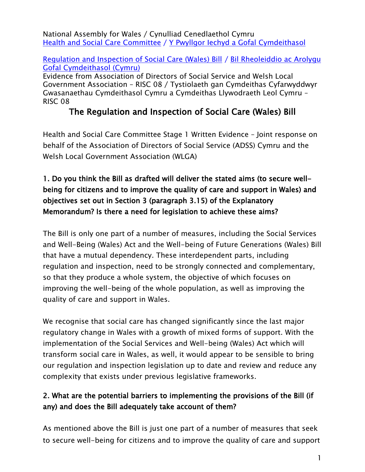National Assembly for Wales / Cynulliad Cenedlaethol Cymru Health and Social Care [Committee](http://www.senedd.assembly.wales/mgCommitteeDetails.aspx?ID=227) / Y Pwyllgor Iechyd a Gofal [Cymdeithasol](http://www.senedd.cynulliad.cymru/mgCommitteeDetails.aspx?ID=227)

#### [Regulation](http://www.senedd.assembly.wales/mgIssueHistoryHome.aspx?IId=12110) and Inspection of Social Care (Wales) Bill / Bil [Rheoleiddio](http://www.senedd.cynulliad.cymru/mgIssueHistoryHome.aspx?IId=12110) ac Arolygu Gofal [Cymdeithasol](http://www.senedd.cynulliad.cymru/mgIssueHistoryHome.aspx?IId=12110) (Cymru)

Evidence from Association of Directors of Social Service and Welsh Local Government Association – RISC 08 / Tystiolaeth gan Cymdeithas Cyfarwyddwyr Gwasanaethau Cymdeithasol Cymru a Cymdeithas Llywodraeth Leol Cymru – RISC 08

# **The Regulation and Inspection of Social Care (Wales) Bill**

Health and Social Care Committee Stage 1 Written Evidence – Joint response on behalf of the Association of Directors of Social Service (ADSS) Cymru and the Welsh Local Government Association (WLGA)

## **1. Do you think the Bill as drafted will deliver the stated aims (to secure wellbeing for citizens and to improve the quality of care and support in Wales) and objectives set out in Section 3 (paragraph 3.15) of the Explanatory Memorandum? Is there a need for legislation to achieve these aims?**

The Bill is only one part of a number of measures, including the Social Services and Well-Being (Wales) Act and the Well-being of Future Generations (Wales) Bill that have a mutual dependency. These interdependent parts, including regulation and inspection, need to be strongly connected and complementary, so that they produce a whole system, the objective of which focuses on improving the well-being of the whole population, as well as improving the quality of care and support in Wales.

We recognise that social care has changed significantly since the last major regulatory change in Wales with a growth of mixed forms of support. With the implementation of the Social Services and Well-being (Wales) Act which will transform social care in Wales, as well, it would appear to be sensible to bring our regulation and inspection legislation up to date and review and reduce any complexity that exists under previous legislative frameworks.

## **2. What are the potential barriers to implementing the provisions of the Bill (if any) and does the Bill adequately take account of them?**

As mentioned above the Bill is just one part of a number of measures that seek to secure well-being for citizens and to improve the quality of care and support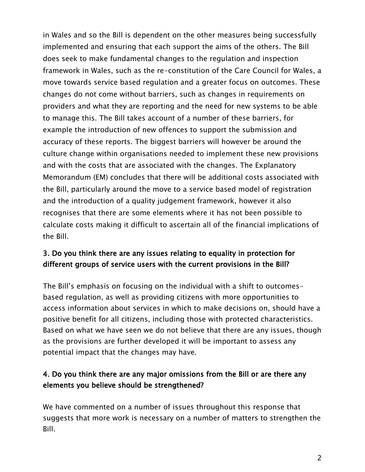in Wales and so the Bill is dependent on the other measures being successfully implemented and ensuring that each support the aims of the others. The Bill does seek to make fundamental changes to the regulation and inspection framework in Wales, such as the re-constitution of the Care Council for Wales, a move towards service based regulation and a greater focus on outcomes. These changes do not come without barriers, such as changes in requirements on providers and what they are reporting and the need for new systems to be able to manage this. The Bill takes account of a number of these barriers, for example the introduction of new offences to support the submission and accuracy of these reports. The biggest barriers will however be around the culture change within organisations needed to implement these new provisions and with the costs that are associated with the changes. The Explanatory Memorandum (EM) concludes that there will be additional costs associated with the Bill, particularly around the move to a service based model of registration and the introduction of a quality judgement framework, however it also recognises that there are some elements where it has not been possible to calculate costs making it difficult to ascertain all of the financial implications of the Bill.

### **3. Do you think there are any issues relating to equality in protection for different groups of service users with the current provisions in the Bill?**

The Bill's emphasis on focusing on the individual with a shift to outcomesbased regulation, as well as providing citizens with more opportunities to access information about services in which to make decisions on, should have a positive benefit for all citizens, including those with protected characteristics. Based on what we have seen we do not believe that there are any issues, though as the provisions are further developed it will be important to assess any potential impact that the changes may have.

### **4. Do you think there are any major omissions from the Bill or are there any elements you believe should be strengthened?**

We have commented on a number of issues throughout this response that suggests that more work is necessary on a number of matters to strengthen the Bill.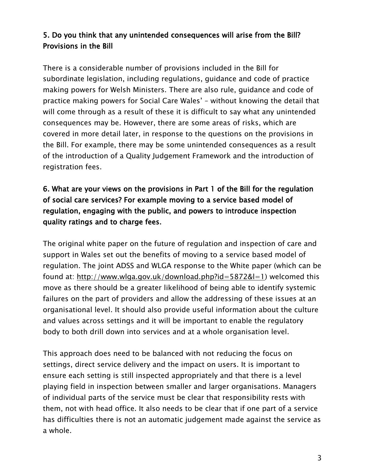### **5. Do you think that any unintended consequences will arise from the Bill? Provisions in the Bill**

There is a considerable number of provisions included in the Bill for subordinate legislation, including regulations, guidance and code of practice making powers for Welsh Ministers. There are also rule, guidance and code of practice making powers for Social Care Wales' – without knowing the detail that will come through as a result of these it is difficult to say what any unintended consequences may be. However, there are some areas of risks, which are covered in more detail later, in response to the questions on the provisions in the Bill. For example, there may be some unintended consequences as a result of the introduction of a Quality Judgement Framework and the introduction of registration fees.

## **6. What are your views on the provisions in Part 1 of the Bill for the regulation of social care services? For example moving to a service based model of regulation, engaging with the public, and powers to introduce inspection quality ratings and to charge fees.**

The original white paper on the future of regulation and inspection of care and support in Wales set out the benefits of moving to a service based model of regulation. The joint ADSS and WLGA response to the White paper (which can be found at: [http://www.wlga.gov.uk/download.php?id=5872&l=1\)](http://www.wlga.gov.uk/download.php?id=5872&l=1) welcomed this move as there should be a greater likelihood of being able to identify systemic failures on the part of providers and allow the addressing of these issues at an organisational level. It should also provide useful information about the culture and values across settings and it will be important to enable the regulatory body to both drill down into services and at a whole organisation level.

This approach does need to be balanced with not reducing the focus on settings, direct service delivery and the impact on users. It is important to ensure each setting is still inspected appropriately and that there is a level playing field in inspection between smaller and larger organisations. Managers of individual parts of the service must be clear that responsibility rests with them, not with head office. It also needs to be clear that if one part of a service has difficulties there is not an automatic judgement made against the service as a whole.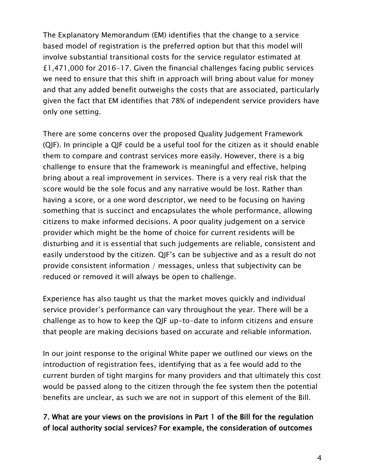The Explanatory Memorandum (EM) identifies that the change to a service based model of registration is the preferred option but that this model will involve substantial transitional costs for the service regulator estimated at £1,471,000 for 2016-17. Given the financial challenges facing public services we need to ensure that this shift in approach will bring about value for money and that any added benefit outweighs the costs that are associated, particularly given the fact that EM identifies that 78% of independent service providers have only one setting.

There are some concerns over the proposed Quality Judgement Framework (QJF). In principle a QJF could be a useful tool for the citizen as it should enable them to compare and contrast services more easily. However, there is a big challenge to ensure that the framework is meaningful and effective, helping bring about a real improvement in services. There is a very real risk that the score would be the sole focus and any narrative would be lost. Rather than having a score, or a one word descriptor, we need to be focusing on having something that is succinct and encapsulates the whole performance, allowing citizens to make informed decisions. A poor quality judgement on a service provider which might be the home of choice for current residents will be disturbing and it is essential that such judgements are reliable, consistent and easily understood by the citizen. QJF's can be subjective and as a result do not provide consistent information / messages, unless that subjectivity can be reduced or removed it will always be open to challenge.

Experience has also taught us that the market moves quickly and individual service provider's performance can vary throughout the year. There will be a challenge as to how to keep the QJF up-to-date to inform citizens and ensure that people are making decisions based on accurate and reliable information.

In our joint response to the original White paper we outlined our views on the introduction of registration fees, identifying that as a fee would add to the current burden of tight margins for many providers and that ultimately this cost would be passed along to the citizen through the fee system then the potential benefits are unclear, as such we are not in support of this element of the Bill.

### **7. What are your views on the provisions in Part 1 of the Bill for the regulation of local authority social services? For example, the consideration of outcomes**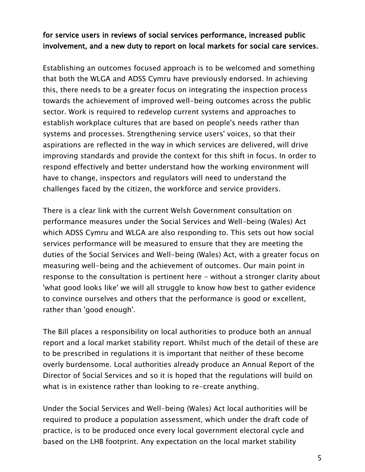#### **for service users in reviews of social services performance, increased public involvement, and a new duty to report on local markets for social care services.**

Establishing an outcomes focused approach is to be welcomed and something that both the WLGA and ADSS Cymru have previously endorsed. In achieving this, there needs to be a greater focus on integrating the inspection process towards the achievement of improved well-being outcomes across the public sector. Work is required to redevelop current systems and approaches to establish workplace cultures that are based on people's needs rather than systems and processes. Strengthening service users' voices, so that their aspirations are reflected in the way in which services are delivered, will drive improving standards and provide the context for this shift in focus. In order to respond effectively and better understand how the working environment will have to change, inspectors and regulators will need to understand the challenges faced by the citizen, the workforce and service providers.

There is a clear link with the current Welsh Government consultation on performance measures under the Social Services and Well-being (Wales) Act which ADSS Cymru and WLGA are also responding to. This sets out how social services performance will be measured to ensure that they are meeting the duties of the Social Services and Well-being (Wales) Act, with a greater focus on measuring well-being and the achievement of outcomes. Our main point in response to the consultation is pertinent here - without a stronger clarity about 'what good looks like' we will all struggle to know how best to gather evidence to convince ourselves and others that the performance is good or excellent, rather than 'good enough'.

The Bill places a responsibility on local authorities to produce both an annual report and a local market stability report. Whilst much of the detail of these are to be prescribed in regulations it is important that neither of these become overly burdensome. Local authorities already produce an Annual Report of the Director of Social Services and so it is hoped that the regulations will build on what is in existence rather than looking to re-create anything.

Under the Social Services and Well-being (Wales) Act local authorities will be required to produce a population assessment, which under the draft code of practice, is to be produced once every local government electoral cycle and based on the LHB footprint. Any expectation on the local market stability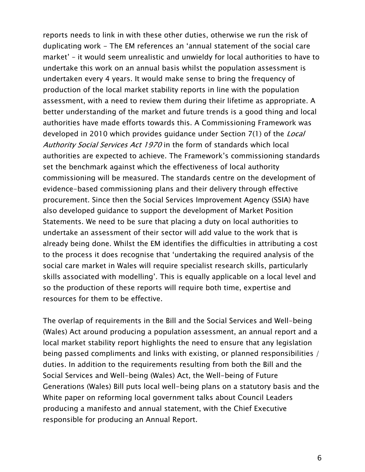reports needs to link in with these other duties, otherwise we run the risk of duplicating work - The EM references an 'annual statement of the social care market' – it would seem unrealistic and unwieldy for local authorities to have to undertake this work on an annual basis whilst the population assessment is undertaken every 4 years. It would make sense to bring the frequency of production of the local market stability reports in line with the population assessment, with a need to review them during their lifetime as appropriate. A better understanding of the market and future trends is a good thing and local authorities have made efforts towards this. A Commissioning Framework was developed in 2010 which provides guidance under Section 7(1) of the *Local Authority Social Services Act 1970* in the form of standards which local authorities are expected to achieve. The Framework's commissioning standards set the benchmark against which the effectiveness of local authority commissioning will be measured. The standards centre on the development of evidence-based commissioning plans and their delivery through effective procurement. Since then the Social Services Improvement Agency (SSIA) have also developed guidance to support the development of Market Position Statements. We need to be sure that placing a duty on local authorities to undertake an assessment of their sector will add value to the work that is already being done. Whilst the EM identifies the difficulties in attributing a cost to the process it does recognise that 'undertaking the required analysis of the social care market in Wales will require specialist research skills, particularly skills associated with modelling'. This is equally applicable on a local level and so the production of these reports will require both time, expertise and resources for them to be effective.

The overlap of requirements in the Bill and the Social Services and Well-being (Wales) Act around producing a population assessment, an annual report and a local market stability report highlights the need to ensure that any legislation being passed compliments and links with existing, or planned responsibilities / duties. In addition to the requirements resulting from both the Bill and the Social Services and Well-being (Wales) Act, the Well-being of Future Generations (Wales) Bill puts local well-being plans on a statutory basis and the White paper on reforming local government talks about Council Leaders producing a manifesto and annual statement, with the Chief Executive responsible for producing an Annual Report.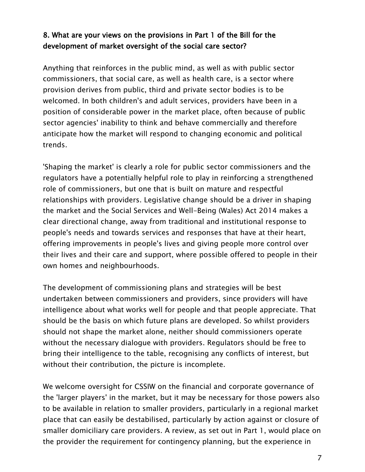### **8. What are your views on the provisions in Part 1 of the Bill for the development of market oversight of the social care sector?**

Anything that reinforces in the public mind, as well as with public sector commissioners, that social care, as well as health care, is a sector where provision derives from public, third and private sector bodies is to be welcomed. In both children's and adult services, providers have been in a position of considerable power in the market place, often because of public sector agencies' inability to think and behave commercially and therefore anticipate how the market will respond to changing economic and political trends.

'Shaping the market' is clearly a role for public sector commissioners and the regulators have a potentially helpful role to play in reinforcing a strengthened role of commissioners, but one that is built on mature and respectful relationships with providers. Legislative change should be a driver in shaping the market and the Social Services and Well-Being (Wales) Act 2014 makes a clear directional change, away from traditional and institutional response to people's needs and towards services and responses that have at their heart, offering improvements in people's lives and giving people more control over their lives and their care and support, where possible offered to people in their own homes and neighbourhoods.

The development of commissioning plans and strategies will be best undertaken between commissioners and providers, since providers will have intelligence about what works well for people and that people appreciate. That should be the basis on which future plans are developed. So whilst providers should not shape the market alone, neither should commissioners operate without the necessary dialogue with providers. Regulators should be free to bring their intelligence to the table, recognising any conflicts of interest, but without their contribution, the picture is incomplete.

We welcome oversight for CSSIW on the financial and corporate governance of the 'larger players' in the market, but it may be necessary for those powers also to be available in relation to smaller providers, particularly in a regional market place that can easily be destabilised, particularly by action against or closure of smaller domiciliary care providers. A review, as set out in Part 1, would place on the provider the requirement for contingency planning, but the experience in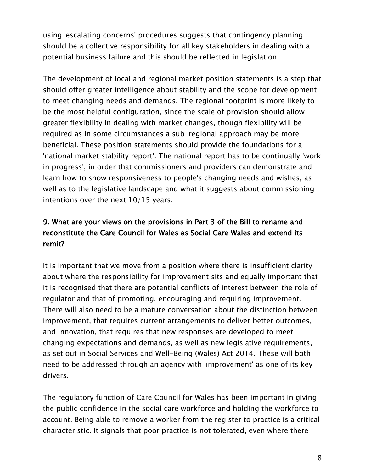using 'escalating concerns' procedures suggests that contingency planning should be a collective responsibility for all key stakeholders in dealing with a potential business failure and this should be reflected in legislation.

The development of local and regional market position statements is a step that should offer greater intelligence about stability and the scope for development to meet changing needs and demands. The regional footprint is more likely to be the most helpful configuration, since the scale of provision should allow greater flexibility in dealing with market changes, though flexibility will be required as in some circumstances a sub-regional approach may be more beneficial. These position statements should provide the foundations for a 'national market stability report'. The national report has to be continually 'work in progress', in order that commissioners and providers can demonstrate and learn how to show responsiveness to people's changing needs and wishes, as well as to the legislative landscape and what it suggests about commissioning intentions over the next 10/15 years.

## **9. What are your views on the provisions in Part 3 of the Bill to rename and reconstitute the Care Council for Wales as Social Care Wales and extend its remit?**

It is important that we move from a position where there is insufficient clarity about where the responsibility for improvement sits and equally important that it is recognised that there are potential conflicts of interest between the role of regulator and that of promoting, encouraging and requiring improvement. There will also need to be a mature conversation about the distinction between improvement, that requires current arrangements to deliver better outcomes, and innovation, that requires that new responses are developed to meet changing expectations and demands, as well as new legislative requirements, as set out in Social Services and Well-Being (Wales) Act 2014. These will both need to be addressed through an agency with 'improvement' as one of its key drivers.

The regulatory function of Care Council for Wales has been important in giving the public confidence in the social care workforce and holding the workforce to account. Being able to remove a worker from the register to practice is a critical characteristic. It signals that poor practice is not tolerated, even where there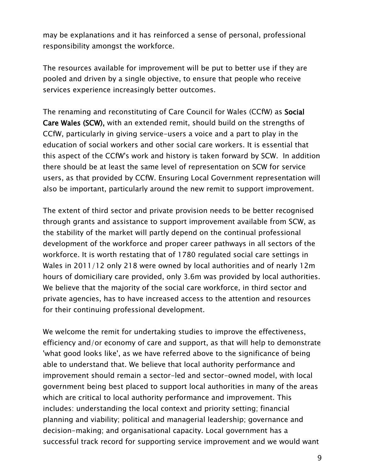may be explanations and it has reinforced a sense of personal, professional responsibility amongst the workforce.

The resources available for improvement will be put to better use if they are pooled and driven by a single objective, to ensure that people who receive services experience increasingly better outcomes.

The renaming and reconstituting of Care Council for Wales (CCfW) as **Social Care Wales (SCW),** with an extended remit, should build on the strengths of CCfW, particularly in giving service-users a voice and a part to play in the education of social workers and other social care workers. It is essential that this aspect of the CCfW's work and history is taken forward by SCW. In addition there should be at least the same level of representation on SCW for service users, as that provided by CCfW. Ensuring Local Government representation will also be important, particularly around the new remit to support improvement.

The extent of third sector and private provision needs to be better recognised through grants and assistance to support improvement available from SCW, as the stability of the market will partly depend on the continual professional development of the workforce and proper career pathways in all sectors of the workforce. It is worth restating that of 1780 regulated social care settings in Wales in 2011/12 only 218 were owned by local authorities and of nearly 12m hours of domiciliary care provided, only 3.6m was provided by local authorities. We believe that the majority of the social care workforce, in third sector and private agencies, has to have increased access to the attention and resources for their continuing professional development.

We welcome the remit for undertaking studies to improve the effectiveness, efficiency and/or economy of care and support, as that will help to demonstrate 'what good looks like', as we have referred above to the significance of being able to understand that. We believe that local authority performance and improvement should remain a sector-led and sector-owned model, with local government being best placed to support local authorities in many of the areas which are critical to local authority performance and improvement. This includes: understanding the local context and priority setting; financial planning and viability; political and managerial leadership; governance and decision-making; and organisational capacity. Local government has a successful track record for supporting service improvement and we would want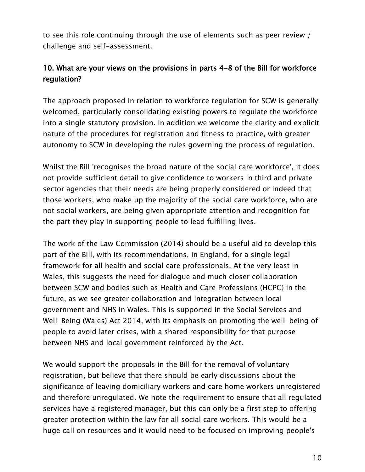to see this role continuing through the use of elements such as peer review / challenge and self-assessment.

## **10. What are your views on the provisions in parts 4-8 of the Bill for workforce regulation?**

The approach proposed in relation to workforce regulation for SCW is generally welcomed, particularly consolidating existing powers to regulate the workforce into a single statutory provision. In addition we welcome the clarity and explicit nature of the procedures for registration and fitness to practice, with greater autonomy to SCW in developing the rules governing the process of regulation.

Whilst the Bill 'recognises the broad nature of the social care workforce', it does not provide sufficient detail to give confidence to workers in third and private sector agencies that their needs are being properly considered or indeed that those workers, who make up the majority of the social care workforce, who are not social workers, are being given appropriate attention and recognition for the part they play in supporting people to lead fulfilling lives.

The work of the Law Commission (2014) should be a useful aid to develop this part of the Bill, with its recommendations, in England, for a single legal framework for all health and social care professionals. At the very least in Wales, this suggests the need for dialogue and much closer collaboration between SCW and bodies such as Health and Care Professions (HCPC) in the future, as we see greater collaboration and integration between local government and NHS in Wales. This is supported in the Social Services and Well-Being (Wales) Act 2014, with its emphasis on promoting the well-being of people to avoid later crises, with a shared responsibility for that purpose between NHS and local government reinforced by the Act.

We would support the proposals in the Bill for the removal of voluntary registration, but believe that there should be early discussions about the significance of leaving domiciliary workers and care home workers unregistered and therefore unregulated. We note the requirement to ensure that all regulated services have a registered manager, but this can only be a first step to offering greater protection within the law for all social care workers. This would be a huge call on resources and it would need to be focused on improving people's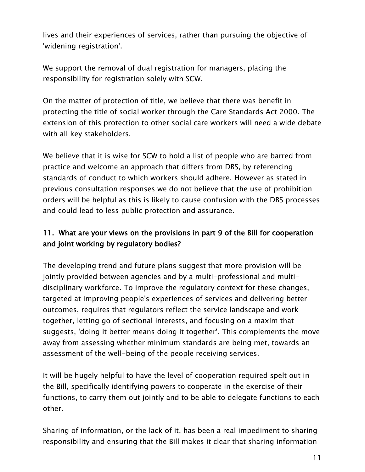lives and their experiences of services, rather than pursuing the objective of 'widening registration'.

We support the removal of dual registration for managers, placing the responsibility for registration solely with SCW.

On the matter of protection of title, we believe that there was benefit in protecting the title of social worker through the Care Standards Act 2000. The extension of this protection to other social care workers will need a wide debate with all key stakeholders.

We believe that it is wise for SCW to hold a list of people who are barred from practice and welcome an approach that differs from DBS, by referencing standards of conduct to which workers should adhere. However as stated in previous consultation responses we do not believe that the use of prohibition orders will be helpful as this is likely to cause confusion with the DBS processes and could lead to less public protection and assurance.

## **11. What are your views on the provisions in part 9 of the Bill for cooperation and joint working by regulatory bodies?**

The developing trend and future plans suggest that more provision will be jointly provided between agencies and by a multi-professional and multidisciplinary workforce. To improve the regulatory context for these changes, targeted at improving people's experiences of services and delivering better outcomes, requires that regulators reflect the service landscape and work together, letting go of sectional interests, and focusing on a maxim that suggests, 'doing it better means doing it together'. This complements the move away from assessing whether minimum standards are being met, towards an assessment of the well-being of the people receiving services.

It will be hugely helpful to have the level of cooperation required spelt out in the Bill, specifically identifying powers to cooperate in the exercise of their functions, to carry them out jointly and to be able to delegate functions to each other.

Sharing of information, or the lack of it, has been a real impediment to sharing responsibility and ensuring that the Bill makes it clear that sharing information